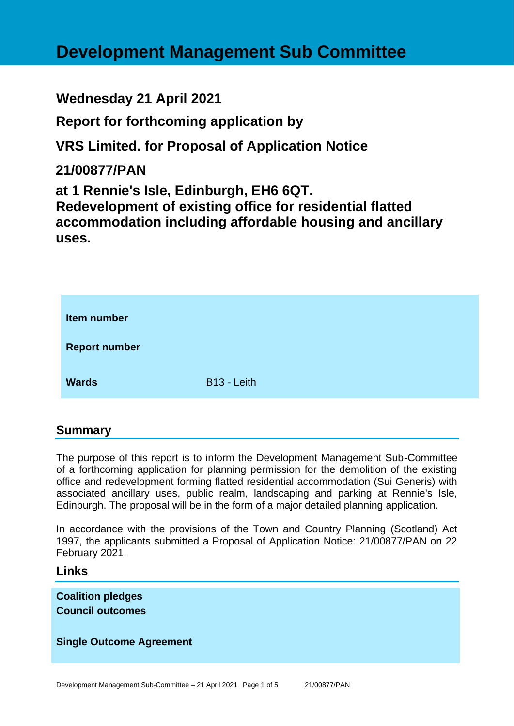# **Development Management Sub Committee**

# **Wednesday 21 April 2021**

**Report for forthcoming application by**

**VRS Limited. for Proposal of Application Notice** 

# **21/00877/PAN**

**at 1 Rennie's Isle, Edinburgh, EH6 6QT. Redevelopment of existing office for residential flatted accommodation including affordable housing and ancillary uses.**

| Item number          |             |
|----------------------|-------------|
| <b>Report number</b> |             |
| <b>Wards</b>         | B13 - Leith |

# **Summary**

The purpose of this report is to inform the Development Management Sub-Committee of a forthcoming application for planning permission for the demolition of the existing office and redevelopment forming flatted residential accommodation (Sui Generis) with associated ancillary uses, public realm, landscaping and parking at Rennie's Isle, Edinburgh. The proposal will be in the form of a major detailed planning application.

In accordance with the provisions of the Town and Country Planning (Scotland) Act 1997, the applicants submitted a Proposal of Application Notice: 21/00877/PAN on 22 February 2021.

**Links**

**Coalition pledges Council outcomes**

#### **Single Outcome Agreement**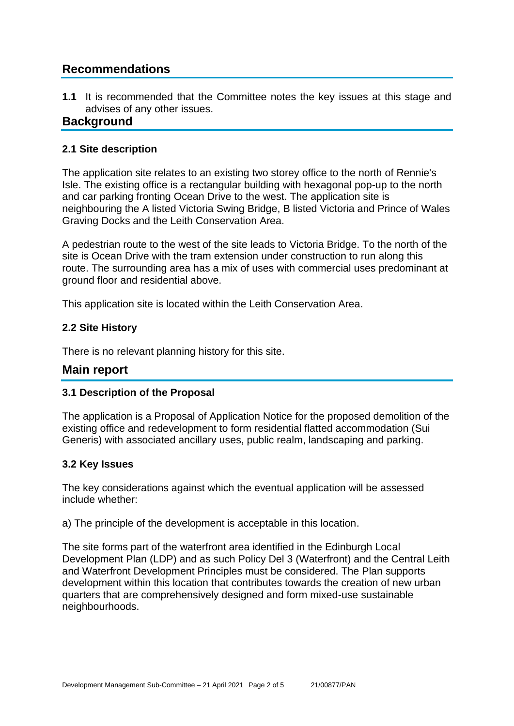# **Recommendations**

**1.1** It is recommended that the Committee notes the key issues at this stage and advises of any other issues.

# **Background**

#### **2.1 Site description**

The application site relates to an existing two storey office to the north of Rennie's Isle. The existing office is a rectangular building with hexagonal pop-up to the north and car parking fronting Ocean Drive to the west. The application site is neighbouring the A listed Victoria Swing Bridge, B listed Victoria and Prince of Wales Graving Docks and the Leith Conservation Area.

A pedestrian route to the west of the site leads to Victoria Bridge. To the north of the site is Ocean Drive with the tram extension under construction to run along this route. The surrounding area has a mix of uses with commercial uses predominant at ground floor and residential above.

This application site is located within the Leith Conservation Area.

#### **2.2 Site History**

There is no relevant planning history for this site.

# **Main report**

#### **3.1 Description of the Proposal**

The application is a Proposal of Application Notice for the proposed demolition of the existing office and redevelopment to form residential flatted accommodation (Sui Generis) with associated ancillary uses, public realm, landscaping and parking.

#### **3.2 Key Issues**

The key considerations against which the eventual application will be assessed include whether:

a) The principle of the development is acceptable in this location.

The site forms part of the waterfront area identified in the Edinburgh Local Development Plan (LDP) and as such Policy Del 3 (Waterfront) and the Central Leith and Waterfront Development Principles must be considered. The Plan supports development within this location that contributes towards the creation of new urban quarters that are comprehensively designed and form mixed-use sustainable neighbourhoods.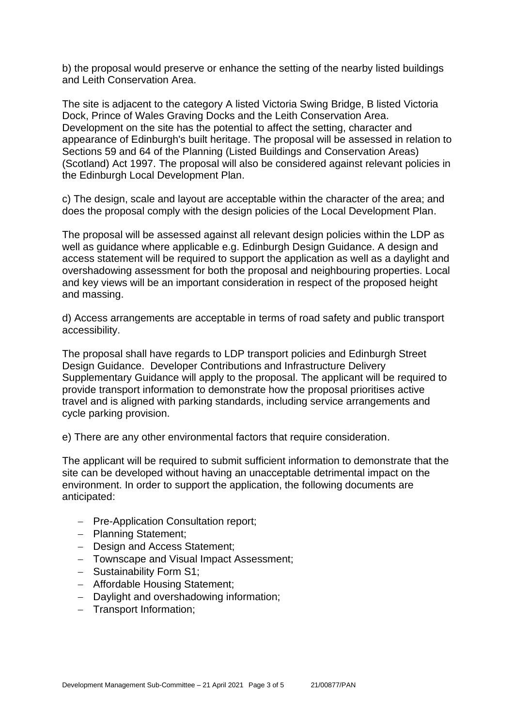b) the proposal would preserve or enhance the setting of the nearby listed buildings and Leith Conservation Area.

The site is adjacent to the category A listed Victoria Swing Bridge, B listed Victoria Dock, Prince of Wales Graving Docks and the Leith Conservation Area. Development on the site has the potential to affect the setting, character and appearance of Edinburgh's built heritage. The proposal will be assessed in relation to Sections 59 and 64 of the Planning (Listed Buildings and Conservation Areas) (Scotland) Act 1997. The proposal will also be considered against relevant policies in the Edinburgh Local Development Plan.

c) The design, scale and layout are acceptable within the character of the area; and does the proposal comply with the design policies of the Local Development Plan.

The proposal will be assessed against all relevant design policies within the LDP as well as guidance where applicable e.g. Edinburgh Design Guidance. A design and access statement will be required to support the application as well as a daylight and overshadowing assessment for both the proposal and neighbouring properties. Local and key views will be an important consideration in respect of the proposed height and massing.

d) Access arrangements are acceptable in terms of road safety and public transport accessibility.

The proposal shall have regards to LDP transport policies and Edinburgh Street Design Guidance. Developer Contributions and Infrastructure Delivery Supplementary Guidance will apply to the proposal. The applicant will be required to provide transport information to demonstrate how the proposal prioritises active travel and is aligned with parking standards, including service arrangements and cycle parking provision.

e) There are any other environmental factors that require consideration.

The applicant will be required to submit sufficient information to demonstrate that the site can be developed without having an unacceptable detrimental impact on the environment. In order to support the application, the following documents are anticipated:

- − Pre-Application Consultation report;
- − Planning Statement;
- − Design and Access Statement;
- − Townscape and Visual Impact Assessment;
- − Sustainability Form S1;
- − Affordable Housing Statement;
- − Daylight and overshadowing information;
- − Transport Information;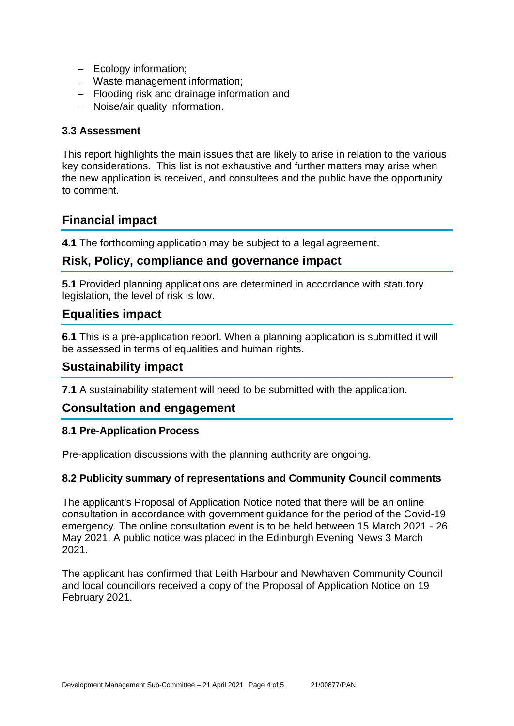- − Ecology information;
- − Waste management information;
- − Flooding risk and drainage information and
- − Noise/air quality information.

#### **3.3 Assessment**

This report highlights the main issues that are likely to arise in relation to the various key considerations. This list is not exhaustive and further matters may arise when the new application is received, and consultees and the public have the opportunity to comment.

# **Financial impact**

**4.1** The forthcoming application may be subject to a legal agreement.

# **Risk, Policy, compliance and governance impact**

**5.1** Provided planning applications are determined in accordance with statutory legislation, the level of risk is low.

# **Equalities impact**

**6.1** This is a pre-application report. When a planning application is submitted it will be assessed in terms of equalities and human rights.

# **Sustainability impact**

**7.1** A sustainability statement will need to be submitted with the application.

# **Consultation and engagement**

#### **8.1 Pre-Application Process**

Pre-application discussions with the planning authority are ongoing.

#### **8.2 Publicity summary of representations and Community Council comments**

The applicant's Proposal of Application Notice noted that there will be an online consultation in accordance with government guidance for the period of the Covid-19 emergency. The online consultation event is to be held between 15 March 2021 - 26 May 2021. A public notice was placed in the Edinburgh Evening News 3 March 2021.

The applicant has confirmed that Leith Harbour and Newhaven Community Council and local councillors received a copy of the Proposal of Application Notice on 19 February 2021.